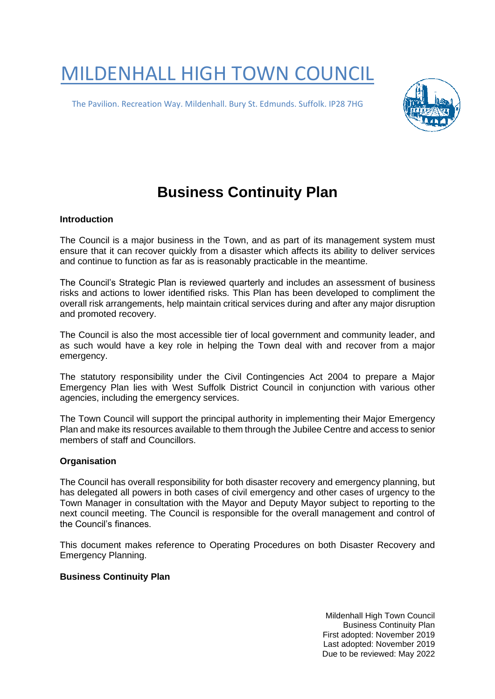# MILDENHALL HIGH TOWN COUNCIL

The Pavilion. Recreation Way. Mildenhall. Bury St. Edmunds. Suffolk. IP28 7HG



# **Business Continuity Plan**

#### **Introduction**

The Council is a major business in the Town, and as part of its management system must ensure that it can recover quickly from a disaster which affects its ability to deliver services and continue to function as far as is reasonably practicable in the meantime.

The Council's Strategic Plan is reviewed quarterly and includes an assessment of business risks and actions to lower identified risks. This Plan has been developed to compliment the overall risk arrangements, help maintain critical services during and after any major disruption and promoted recovery.

The Council is also the most accessible tier of local government and community leader, and as such would have a key role in helping the Town deal with and recover from a major emergency.

The statutory responsibility under the Civil Contingencies Act 2004 to prepare a Major Emergency Plan lies with West Suffolk District Council in conjunction with various other agencies, including the emergency services.

The Town Council will support the principal authority in implementing their Major Emergency Plan and make its resources available to them through the Jubilee Centre and access to senior members of staff and Councillors.

#### **Organisation**

The Council has overall responsibility for both disaster recovery and emergency planning, but has delegated all powers in both cases of civil emergency and other cases of urgency to the Town Manager in consultation with the Mayor and Deputy Mayor subject to reporting to the next council meeting. The Council is responsible for the overall management and control of the Council's finances.

This document makes reference to Operating Procedures on both Disaster Recovery and Emergency Planning.

## **Business Continuity Plan**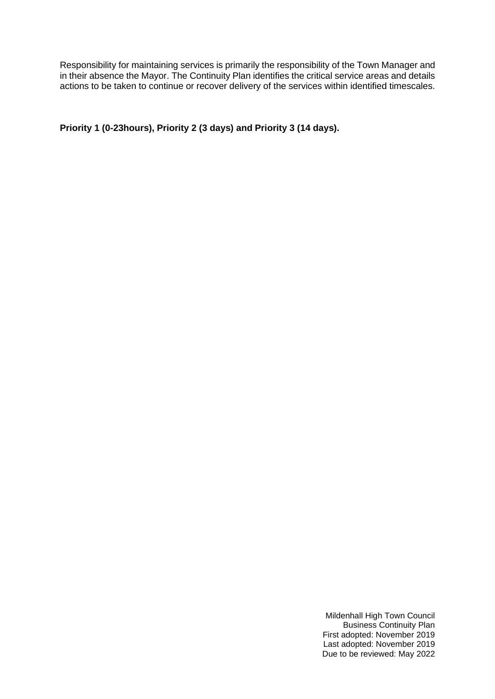Responsibility for maintaining services is primarily the responsibility of the Town Manager and in their absence the Mayor. The Continuity Plan identifies the critical service areas and details actions to be taken to continue or recover delivery of the services within identified timescales.

**Priority 1 (0-23hours), Priority 2 (3 days) and Priority 3 (14 days).**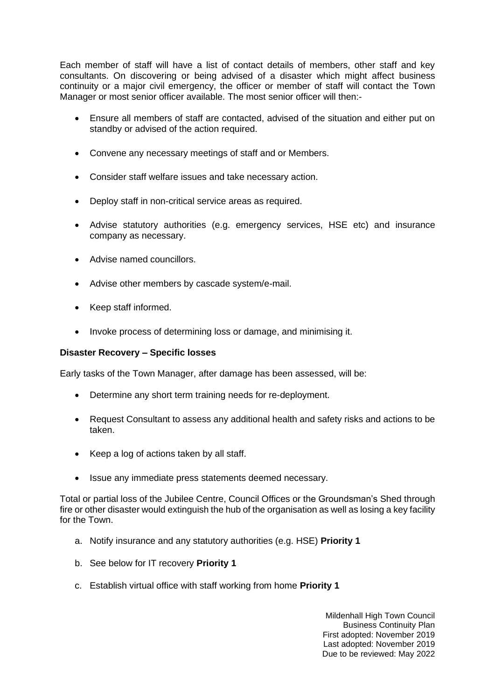Each member of staff will have a list of contact details of members, other staff and key consultants. On discovering or being advised of a disaster which might affect business continuity or a major civil emergency, the officer or member of staff will contact the Town Manager or most senior officer available. The most senior officer will then:-

- Ensure all members of staff are contacted, advised of the situation and either put on standby or advised of the action required.
- Convene any necessary meetings of staff and or Members.
- Consider staff welfare issues and take necessary action.
- Deploy staff in non-critical service areas as required.
- Advise statutory authorities (e.g. emergency services, HSE etc) and insurance company as necessary.
- Advise named councillors.
- Advise other members by cascade system/e-mail.
- Keep staff informed.
- Invoke process of determining loss or damage, and minimising it.

#### **Disaster Recovery – Specific losses**

Early tasks of the Town Manager, after damage has been assessed, will be:

- Determine any short term training needs for re-deployment.
- Request Consultant to assess any additional health and safety risks and actions to be taken.
- Keep a log of actions taken by all staff.
- Issue any immediate press statements deemed necessary.

Total or partial loss of the Jubilee Centre, Council Offices or the Groundsman's Shed through fire or other disaster would extinguish the hub of the organisation as well as losing a key facility for the Town.

- a. Notify insurance and any statutory authorities (e.g. HSE) **Priority 1**
- b. See below for IT recovery **Priority 1**
- c. Establish virtual office with staff working from home **Priority 1**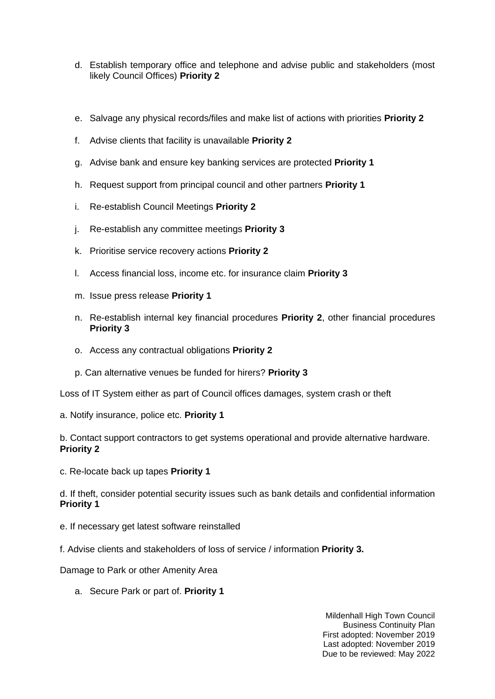- d. Establish temporary office and telephone and advise public and stakeholders (most likely Council Offices) **Priority 2**
- e. Salvage any physical records/files and make list of actions with priorities **Priority 2**
- f. Advise clients that facility is unavailable **Priority 2**
- g. Advise bank and ensure key banking services are protected **Priority 1**
- h. Request support from principal council and other partners **Priority 1**
- i. Re-establish Council Meetings **Priority 2**
- j. Re-establish any committee meetings **Priority 3**
- k. Prioritise service recovery actions **Priority 2**
- l. Access financial loss, income etc. for insurance claim **Priority 3**
- m. Issue press release **Priority 1**
- n. Re-establish internal key financial procedures **Priority 2**, other financial procedures **Priority 3**
- o. Access any contractual obligations **Priority 2**
- p. Can alternative venues be funded for hirers? **Priority 3**

Loss of IT System either as part of Council offices damages, system crash or theft

a. Notify insurance, police etc. **Priority 1** 

b. Contact support contractors to get systems operational and provide alternative hardware. **Priority 2**

c. Re-locate back up tapes **Priority 1** 

d. If theft, consider potential security issues such as bank details and confidential information **Priority 1**

- e. If necessary get latest software reinstalled
- f. Advise clients and stakeholders of loss of service / information **Priority 3.**

Damage to Park or other Amenity Area

a. Secure Park or part of. **Priority 1**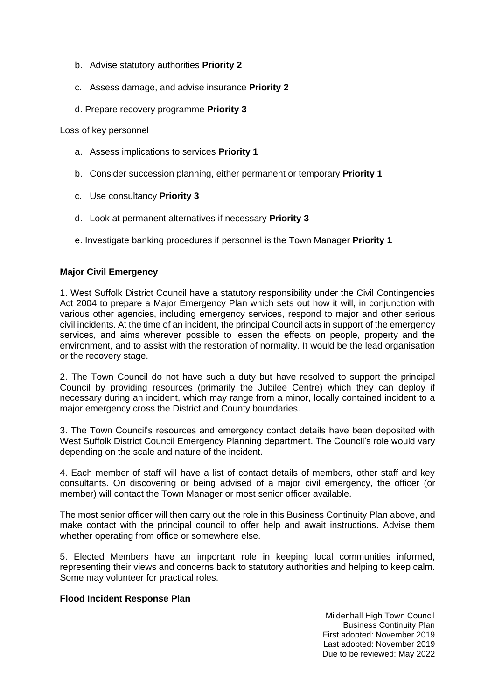- b. Advise statutory authorities **Priority 2**
- c. Assess damage, and advise insurance **Priority 2**
- d. Prepare recovery programme **Priority 3**

Loss of key personnel

- a. Assess implications to services **Priority 1**
- b. Consider succession planning, either permanent or temporary **Priority 1**
- c. Use consultancy **Priority 3**
- d. Look at permanent alternatives if necessary **Priority 3**
- e. Investigate banking procedures if personnel is the Town Manager **Priority 1**

#### **Major Civil Emergency**

1. West Suffolk District Council have a statutory responsibility under the Civil Contingencies Act 2004 to prepare a Major Emergency Plan which sets out how it will, in conjunction with various other agencies, including emergency services, respond to major and other serious civil incidents. At the time of an incident, the principal Council acts in support of the emergency services, and aims wherever possible to lessen the effects on people, property and the environment, and to assist with the restoration of normality. It would be the lead organisation or the recovery stage.

2. The Town Council do not have such a duty but have resolved to support the principal Council by providing resources (primarily the Jubilee Centre) which they can deploy if necessary during an incident, which may range from a minor, locally contained incident to a major emergency cross the District and County boundaries.

3. The Town Council's resources and emergency contact details have been deposited with West Suffolk District Council Emergency Planning department. The Council's role would vary depending on the scale and nature of the incident.

4. Each member of staff will have a list of contact details of members, other staff and key consultants. On discovering or being advised of a major civil emergency, the officer (or member) will contact the Town Manager or most senior officer available.

The most senior officer will then carry out the role in this Business Continuity Plan above, and make contact with the principal council to offer help and await instructions. Advise them whether operating from office or somewhere else.

5. Elected Members have an important role in keeping local communities informed, representing their views and concerns back to statutory authorities and helping to keep calm. Some may volunteer for practical roles.

#### **Flood Incident Response Plan**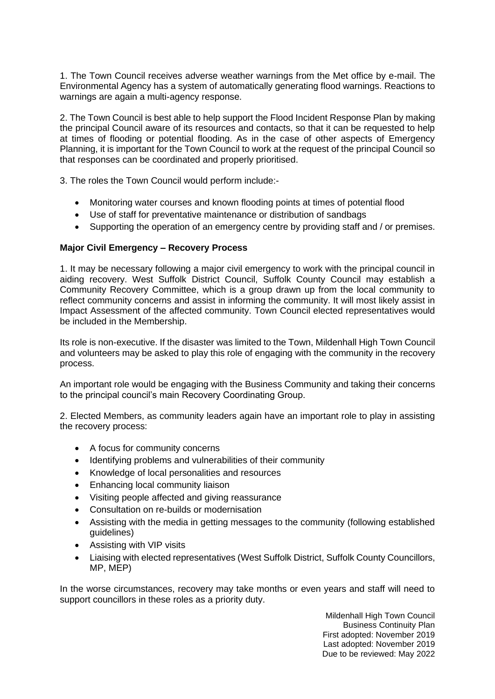1. The Town Council receives adverse weather warnings from the Met office by e-mail. The Environmental Agency has a system of automatically generating flood warnings. Reactions to warnings are again a multi-agency response.

2. The Town Council is best able to help support the Flood Incident Response Plan by making the principal Council aware of its resources and contacts, so that it can be requested to help at times of flooding or potential flooding. As in the case of other aspects of Emergency Planning, it is important for the Town Council to work at the request of the principal Council so that responses can be coordinated and properly prioritised.

3. The roles the Town Council would perform include:-

- Monitoring water courses and known flooding points at times of potential flood
- Use of staff for preventative maintenance or distribution of sandbags
- Supporting the operation of an emergency centre by providing staff and / or premises.

## **Major Civil Emergency – Recovery Process**

1. It may be necessary following a major civil emergency to work with the principal council in aiding recovery. West Suffolk District Council, Suffolk County Council may establish a Community Recovery Committee, which is a group drawn up from the local community to reflect community concerns and assist in informing the community. It will most likely assist in Impact Assessment of the affected community. Town Council elected representatives would be included in the Membership.

Its role is non-executive. If the disaster was limited to the Town, Mildenhall High Town Council and volunteers may be asked to play this role of engaging with the community in the recovery process.

An important role would be engaging with the Business Community and taking their concerns to the principal council's main Recovery Coordinating Group.

2. Elected Members, as community leaders again have an important role to play in assisting the recovery process:

- A focus for community concerns
- Identifying problems and vulnerabilities of their community
- Knowledge of local personalities and resources
- Enhancing local community liaison
- Visiting people affected and giving reassurance
- Consultation on re-builds or modernisation
- Assisting with the media in getting messages to the community (following established guidelines)
- Assisting with VIP visits
- Liaising with elected representatives (West Suffolk District, Suffolk County Councillors, MP, MEP)

In the worse circumstances, recovery may take months or even years and staff will need to support councillors in these roles as a priority duty.